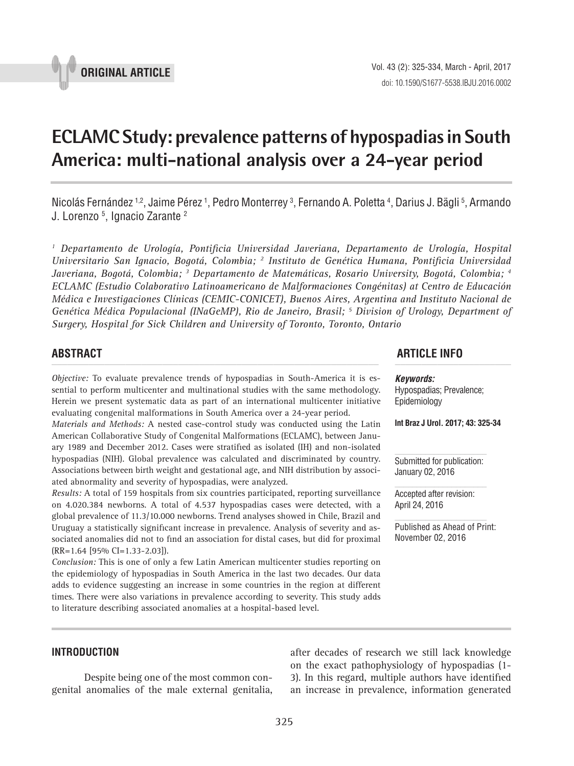

# **ECLAMC Study: prevalence patterns of hypospadias in South America: multi-national analysis over a 24-year period \_\_\_\_\_\_\_\_\_\_\_\_\_\_\_\_\_\_\_\_\_\_\_\_\_\_\_\_\_\_\_\_\_\_\_\_\_\_\_\_\_\_\_\_\_\_\_**

Nicolás Fernández <sup>1,2</sup>, Jaime Pérez <sup>1</sup>, Pedro Monterrey <sup>3</sup>, Fernando A. Poletta <sup>4</sup>, Darius J. Bägli <sup>5</sup>, Armando J. Lorenzo 5 , Ignacio Zarante 2

<sup>1</sup> Departamento de Urología, Pontificia Universidad Javeriana, Departamento de Urología, Hospital *Universitario San Ignacio, Bogotá, Colombia; 2 Instituto de Genética Humana, Pontificia Universidad Javeriana, Bogotá, Colombia; 3 Departamento de Matemáticas, Rosario University, Bogotá, Colombia; 4 ECLAMC (Estudio Colaborativo Latinoamericano de Malformaciones Congénitas) at Centro de Educación Médica e Investigaciones Clínicas (CEMIC-CONICET), Buenos Aires, Argentina and Instituto Nacional de Genética Médica Populacional (INaGeMP), Rio de Janeiro, Brasil; 5 Division of Urology, Department of Surgery, Hospital for Sick Children and University of Toronto, Toronto, Ontario*

*Objective:* To evaluate prevalence trends of hypospadias in South-America it is essential to perform multicenter and multinational studies with the same methodology. Herein we present systematic data as part of an international multicenter initiative evaluating congenital malformations in South America over a 24-year period.

*Materials and Methods:* A nested case-control study was conducted using the Latin American Collaborative Study of Congenital Malformations (ECLAMC), between January 1989 and December 2012. Cases were stratified as isolated (IH) and non-isolated hypospadias (NIH). Global prevalence was calculated and discriminated by country. Associations between birth weight and gestational age, and NIH distribution by associated abnormality and severity of hypospadias, were analyzed.

*Results:* A total of 159 hospitals from six countries participated, reporting surveillance on 4.020.384 newborns. A total of 4.537 hypospadias cases were detected, with a global prevalence of 11.3/10.000 newborns. Trend analyses showed in Chile, Brazil and Uruguay a statistically significant increase in prevalence. Analysis of severity and associated anomalies did not to find an association for distal cases, but did for proximal (RR=1.64 [95% CI=1.33-2.03]).

*Conclusion:* This is one of only a few Latin American multicenter studies reporting on the epidemiology of hypospadias in South America in the last two decades. Our data adds to evidence suggesting an increase in some countries in the region at different times. There were also variations in prevalence according to severity. This study adds to literature describing associated anomalies at a hospital-based level.

# **ABSTRACT ARTICLE INFO** *\_\_\_\_\_\_\_\_\_\_\_\_\_\_\_\_\_\_\_\_\_\_\_\_\_\_\_\_\_\_\_\_\_\_\_\_\_\_\_\_\_\_\_\_\_\_\_\_\_\_\_\_\_\_\_\_\_\_\_\_\_\_ \_\_\_\_\_\_\_\_\_\_\_\_\_\_\_\_\_\_\_\_\_\_*

#### *Keywords:*

Hypospadias; Prevalence; Epidemiology

**Int Braz J Urol. 2017; 43: 325-34**

Submitted for publication: January 02, 2016

Accepted after revision: April 24, 2016

Published as Ahead of Print: November 02, 2016

#### **INTRODUCTION**

Despite being one of the most common congenital anomalies of the male external genitalia, after decades of research we still lack knowledge on the exact pathophysiology of hypospadias (1- 3). In this regard, multiple authors have identified an increase in prevalence, information generated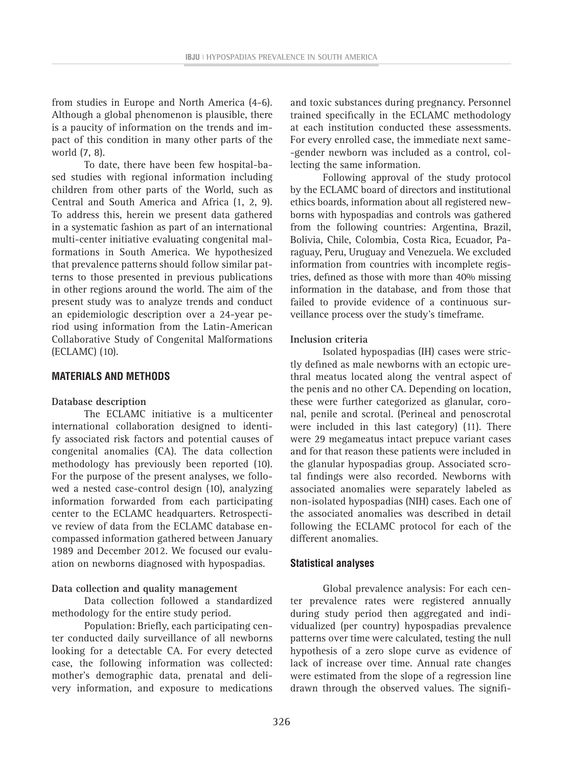from studies in Europe and North America (4-6). Although a global phenomenon is plausible, there is a paucity of information on the trends and impact of this condition in many other parts of the world (7, 8).

To date, there have been few hospital-based studies with regional information including children from other parts of the World, such as Central and South America and Africa (1, 2, 9). To address this, herein we present data gathered in a systematic fashion as part of an international multi-center initiative evaluating congenital malformations in South America. We hypothesized that prevalence patterns should follow similar patterns to those presented in previous publications in other regions around the world. The aim of the present study was to analyze trends and conduct an epidemiologic description over a 24-year period using information from the Latin-American Collaborative Study of Congenital Malformations (ECLAMC) (10).

# **MATERIALS AND METHODS**

# **Database description**

The ECLAMC initiative is a multicenter international collaboration designed to identify associated risk factors and potential causes of congenital anomalies (CA). The data collection methodology has previously been reported (10). For the purpose of the present analyses, we followed a nested case-control design (10), analyzing information forwarded from each participating center to the ECLAMC headquarters. Retrospective review of data from the ECLAMC database encompassed information gathered between January 1989 and December 2012. We focused our evaluation on newborns diagnosed with hypospadias.

# **Data collection and quality management**

Data collection followed a standardized methodology for the entire study period.

Population: Briefly, each participating center conducted daily surveillance of all newborns looking for a detectable CA. For every detected case, the following information was collected: mother's demographic data, prenatal and delivery information, and exposure to medications

and toxic substances during pregnancy. Personnel trained specifically in the ECLAMC methodology at each institution conducted these assessments. For every enrolled case, the immediate next same- -gender newborn was included as a control, collecting the same information.

Following approval of the study protocol by the ECLAMC board of directors and institutional ethics boards, information about all registered newborns with hypospadias and controls was gathered from the following countries: Argentina, Brazil, Bolivia, Chile, Colombia, Costa Rica, Ecuador, Paraguay, Peru, Uruguay and Venezuela. We excluded information from countries with incomplete registries, defined as those with more than 40% missing information in the database, and from those that failed to provide evidence of a continuous surveillance process over the study's timeframe.

## **Inclusion criteria**

Isolated hypospadias (IH) cases were strictly defined as male newborns with an ectopic urethral meatus located along the ventral aspect of the penis and no other CA. Depending on location, these were further categorized as glanular, coronal, penile and scrotal. (Perineal and penoscrotal were included in this last category) (11). There were 29 megameatus intact prepuce variant cases and for that reason these patients were included in the glanular hypospadias group. Associated scrotal findings were also recorded. Newborns with associated anomalies were separately labeled as non-isolated hypospadias (NIH) cases. Each one of the associated anomalies was described in detail following the ECLAMC protocol for each of the different anomalies.

# **Statistical analyses**

Global prevalence analysis: For each center prevalence rates were registered annually during study period then aggregated and individualized (per country) hypospadias prevalence patterns over time were calculated, testing the null hypothesis of a zero slope curve as evidence of lack of increase over time. Annual rate changes were estimated from the slope of a regression line drawn through the observed values. The signifi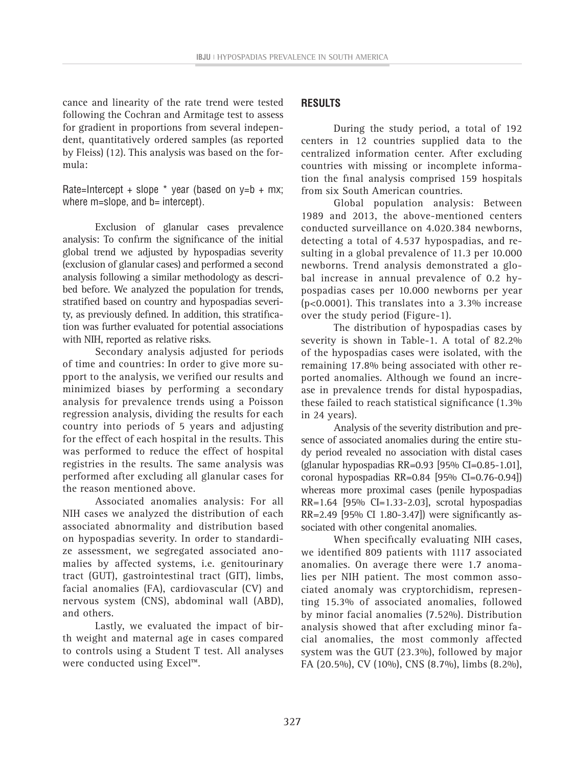cance and linearity of the rate trend were tested following the Cochran and Armitage test to assess for gradient in proportions from several independent, quantitatively ordered samples (as reported by Fleiss) (12). This analysis was based on the formula:

Rate=Intercept + slope  $*$  year (based on y=b + mx; where  $m = slope$ , and  $b = intercept$ ).

Exclusion of glanular cases prevalence analysis: To confirm the significance of the initial global trend we adjusted by hypospadias severity (exclusion of glanular cases) and performed a second analysis following a similar methodology as described before. We analyzed the population for trends, stratified based on country and hypospadias severity, as previously defined. In addition, this stratification was further evaluated for potential associations with NIH, reported as relative risks.

Secondary analysis adjusted for periods of time and countries: In order to give more support to the analysis, we verified our results and minimized biases by performing a secondary analysis for prevalence trends using a Poisson regression analysis, dividing the results for each country into periods of 5 years and adjusting for the effect of each hospital in the results. This was performed to reduce the effect of hospital registries in the results. The same analysis was performed after excluding all glanular cases for the reason mentioned above.

Associated anomalies analysis: For all NIH cases we analyzed the distribution of each associated abnormality and distribution based on hypospadias severity. In order to standardize assessment, we segregated associated anomalies by affected systems, i.e. genitourinary tract (GUT), gastrointestinal tract (GIT), limbs, facial anomalies (FA), cardiovascular (CV) and nervous system (CNS), abdominal wall (ABD), and others.

Lastly, we evaluated the impact of birth weight and maternal age in cases compared to controls using a Student T test. All analyses were conducted using Excel™.

### **RESULTS**

During the study period, a total of 192 centers in 12 countries supplied data to the centralized information center. After excluding countries with missing or incomplete information the final analysis comprised 159 hospitals from six South American countries.

Global population analysis: Between 1989 and 2013, the above-mentioned centers conducted surveillance on 4.020.384 newborns, detecting a total of 4.537 hypospadias, and resulting in a global prevalence of 11.3 per 10.000 newborns. Trend analysis demonstrated a global increase in annual prevalence of 0.2 hypospadias cases per 10.000 newborns per year (p<0.0001). This translates into a 3.3% increase over the study period (Figure-1).

The distribution of hypospadias cases by severity is shown in Table-1. A total of 82.2% of the hypospadias cases were isolated, with the remaining 17.8% being associated with other reported anomalies. Although we found an increase in prevalence trends for distal hypospadias, these failed to reach statistical significance (1.3% in 24 years).

Analysis of the severity distribution and presence of associated anomalies during the entire study period revealed no association with distal cases (glanular hypospadias  $RR=0.93$  [95% CI=0.85-1.01], coronal hypospadias RR=0.84 [95% CI=0.76-0.94]) whereas more proximal cases (penile hypospadias  $RR=1.64$  [95% CI=1.33-2.03], scrotal hypospadias RR=2.49 [95% CI 1.80-3.47]) were significantly associated with other congenital anomalies.

When specifically evaluating NIH cases, we identified 809 patients with 1117 associated anomalies. On average there were 1.7 anomalies per NIH patient. The most common associated anomaly was cryptorchidism, representing 15.3% of associated anomalies, followed by minor facial anomalies (7.52%). Distribution analysis showed that after excluding minor facial anomalies, the most commonly affected system was the GUT (23.3%), followed by major FA (20.5%), CV (10%), CNS (8.7%), limbs (8.2%),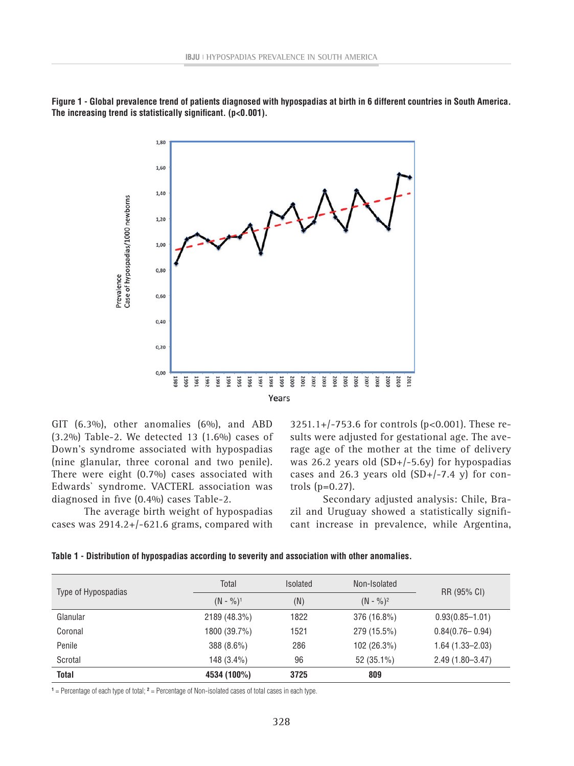**Figure 1 - Global prevalence trend of patients diagnosed with hypospadias at birth in 6 different countries in South America. The increasing trend is statistically significant. (p<0.001).**



GIT (6.3%), other anomalies (6%), and ABD (3.2%) Table-2. We detected 13 (1.6%) cases of Down's syndrome associated with hypospadias (nine glanular, three coronal and two penile). There were eight (0.7%) cases associated with Edwards` syndrome. VACTERL association was diagnosed in five (0.4%) cases Table-2.

The average birth weight of hypospadias cases was 2914.2+/-621.6 grams, compared with 3251.1+/-753.6 for controls (p<0.001). These results were adjusted for gestational age. The average age of the mother at the time of delivery was 26.2 years old  $(SD+/-5.6y)$  for hypospadias cases and 26.3 years old (SD+/-7.4 y) for controls (p=0.27).

Secondary adjusted analysis: Chile, Brazil and Uruguay showed a statistically significant increase in prevalence, while Argentina,

| Table 1 - Distribution of hypospadias according to severity and association with other anomalies. |  |  |
|---------------------------------------------------------------------------------------------------|--|--|
|---------------------------------------------------------------------------------------------------|--|--|

|                     | Total                 | <b>Isolated</b> | Non-Isolated          |                     |  |
|---------------------|-----------------------|-----------------|-----------------------|---------------------|--|
| Type of Hypospadias | $(N - \frac{9}{6})^1$ | (N)             | $(N - \frac{9}{6})^2$ | RR (95% CI)         |  |
| Glanular            | 2189 (48.3%)          | 1822            | 376 (16.8%)           | $0.93(0.85 - 1.01)$ |  |
| Coronal             | 1800 (39.7%)          | 1521            | 279 (15.5%)           | $0.84(0.76 - 0.94)$ |  |
| Penile              | 388 (8.6%)            | 286             | 102 (26.3%)           | $1.64(1.33 - 2.03)$ |  |
| Scrotal             | 148 (3.4%)            | 96              | 52 (35.1%)            | $2.49(1.80 - 3.47)$ |  |
| <b>Total</b>        | 4534 (100%)           | 3725            | 809                   |                     |  |

<sup>1</sup> = Percentage of each type of total; <sup>2</sup> = Percentage of Non-isolated cases of total cases in each type.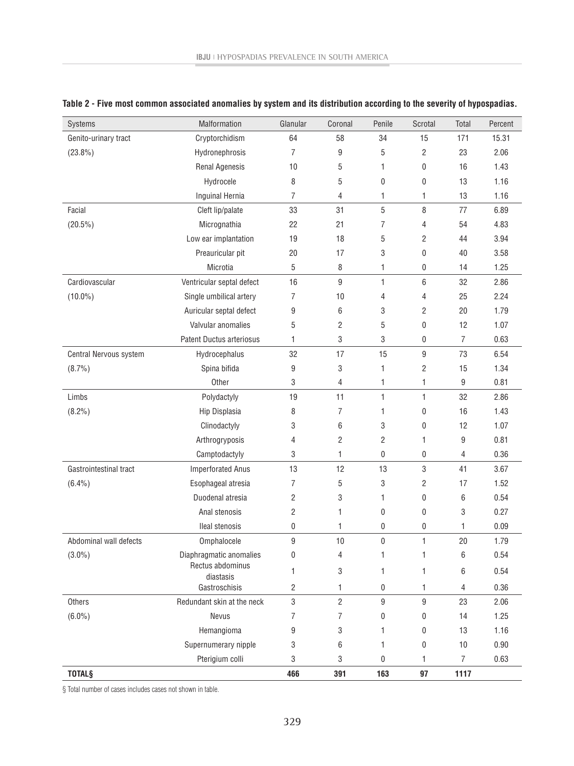| Systems                | Malformation                    | Glanular       | Coronal        | Penile           | Scrotal      | Total          | Percent |
|------------------------|---------------------------------|----------------|----------------|------------------|--------------|----------------|---------|
| Genito-urinary tract   | Cryptorchidism                  | 64             | 58             | 34               | 15           | 171            | 15.31   |
| $(23.8\%)$             | Hydronephrosis                  | 7              | 9              | 5                | 2            | 23             | 2.06    |
|                        | <b>Renal Agenesis</b>           | 10             | 5              | 1                | 0            | 16             | 1.43    |
|                        | Hydrocele                       | 8              | 5              | 0                | 0            | 13             | 1.16    |
|                        | Inguinal Hernia                 | 7              | 4              | 1                | 1            | 13             | 1.16    |
| Facial                 | Cleft lip/palate                | 33             | 31             | 5                | 8            | 77             | 6.89    |
| $(20.5\%)$             | Micrognathia                    | 22             | 21             | 7                | 4            | 54             | 4.83    |
|                        | Low ear implantation            | 19             | 18             | 5                | 2            | 44             | 3.94    |
|                        | Preauricular pit                | 20             | 17             | 3                | 0            | 40             | 3.58    |
|                        | Microtia                        | 5              | 8              | 1                | 0            | 14             | 1.25    |
| Cardiovascular         | Ventricular septal defect       | 16             | 9              | $\mathbf{1}$     | 6            | 32             | 2.86    |
| $(10.0\%)$             | Single umbilical artery         | 7              | 10             | 4                | 4            | 25             | 2.24    |
|                        | Auricular septal defect         | 9              | 6              | 3                | 2            | 20             | 1.79    |
|                        | Valvular anomalies              | 5              | 2              | 5                | 0            | 12             | 1.07    |
|                        | <b>Patent Ductus arteriosus</b> | 1              | 3              | 3                | 0            | $\overline{7}$ | 0.63    |
| Central Nervous system | Hydrocephalus                   | 32             | 17             | 15               | 9            | 73             | 6.54    |
| $(8.7\%)$              | Spina bifida                    | 9              | 3              | 1                | 2            | 15             | 1.34    |
|                        | Other                           | 3              | 4              | 1                | 1            | 9              | 0.81    |
| Limbs                  | Polydactyly                     | 19             | 11             | $\mathbf{1}$     | $\mathbf{1}$ | 32             | 2.86    |
| $(8.2\%)$              | Hip Displasia                   | 8              | 7              | 1                | 0            | 16             | 1.43    |
|                        | Clinodactyly                    | 3              | 6              | 3                | 0            | 12             | 1.07    |
|                        | Arthrogryposis                  | 4              | 2              | 2                | 1            | 9              | 0.81    |
|                        | Camptodactyly                   | 3              | 1              | 0                | 0            | 4              | 0.36    |
| Gastrointestinal tract | <b>Imperforated Anus</b>        | 13             | 12             | 13               | 3            | 41             | 3.67    |
| $(6.4\%)$              | Esophageal atresia              | $\overline{7}$ | 5              | 3                | 2            | 17             | 1.52    |
|                        | Duodenal atresia                | 2              | 3              | 1                | 0            | 6              | 0.54    |
|                        | Anal stenosis                   | 2              | 1              | 0                | 0            | 3              | 0.27    |
|                        | Ileal stenosis                  | 0              | 1              | $\boldsymbol{0}$ | 0            | 1              | 0.09    |
| Abdominal wall defects | Omphalocele                     | 9              | 10             | 0                | 1            | 20             | 1.79    |
| $(3.0\%)$              | Diaphragmatic anomalies         | 0              | 4              | 1                | 1            | 6              | 0.54    |
|                        | Rectus abdominus<br>diastasis   | 1              | 3              | 1                | 1            | 6              | 0.54    |
|                        | Gastroschisis                   | 2              | 1              | 0                | 1            | 4              | 0.36    |
| Others                 | Redundant skin at the neck      | 3              | $\overline{2}$ | $\boldsymbol{9}$ | 9            | 23             | 2.06    |
| $(6.0\%)$              | Nevus                           | 7              | 7              | 0                | 0            | 14             | 1.25    |
|                        | Hemangioma                      | 9              | 3              | 1                | 0            | 13             | 1.16    |
|                        | Supernumerary nipple            | 3              | 6              | 1                | 0            | 10             | 0.90    |
|                        | Pterigium colli                 | 3              | 3              | 0                | 1            | 7              | 0.63    |
| <b>TOTALS</b>          |                                 | 466            | 391            | 163              | 97           | 1117           |         |

#### **Table 2 - Five most common associated anomalies by system and its distribution according to the severity of hypospadias.**

§ Total number of cases includes cases not shown in table.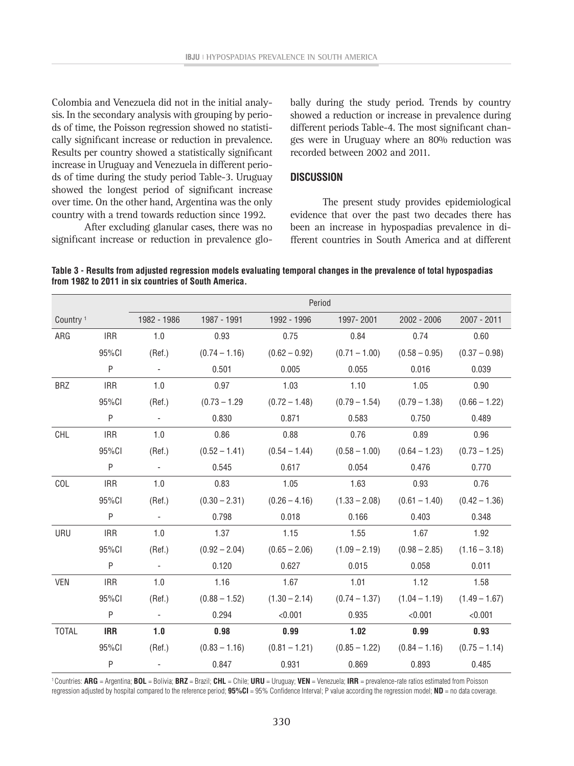Colombia and Venezuela did not in the initial analysis. In the secondary analysis with grouping by periods of time, the Poisson regression showed no statistically significant increase or reduction in prevalence. Results per country showed a statistically significant increase in Uruguay and Venezuela in different periods of time during the study period Table-3. Uruguay showed the longest period of significant increase over time. On the other hand, Argentina was the only country with a trend towards reduction since 1992.

After excluding glanular cases, there was no significant increase or reduction in prevalence globally during the study period. Trends by country showed a reduction or increase in prevalence during different periods Table-4. The most significant changes were in Uruguay where an 80% reduction was recorded between 2002 and 2011.

#### **DISCUSSION**

The present study provides epidemiological evidence that over the past two decades there has been an increase in hypospadias prevalence in different countries in South America and at different

| Table 3 - Results from adjusted regression models evaluating temporal changes in the prevalence of total hypospadias |  |
|----------------------------------------------------------------------------------------------------------------------|--|
| from 1982 to 2011 in six countries of South America.                                                                 |  |

|                      |              | Period                   |                 |                 |                 |                 |                 |
|----------------------|--------------|--------------------------|-----------------|-----------------|-----------------|-----------------|-----------------|
| Country <sup>1</sup> |              | 1982 - 1986              | 1987 - 1991     | 1992 - 1996     | 1997-2001       | $2002 - 2006$   | 2007 - 2011     |
| ARG                  | <b>IRR</b>   | 1.0                      | 0.93            | 0.75            | 0.84            | 0.74            | 0.60            |
|                      | 95%Cl        | (Ref.)                   | $(0.74 - 1.16)$ | $(0.62 - 0.92)$ | $(0.71 - 1.00)$ | $(0.58 - 0.95)$ | $(0.37 - 0.98)$ |
|                      | P            | $\overline{\phantom{a}}$ | 0.501           | 0.005           | 0.055           | 0.016           | 0.039           |
| <b>BRZ</b>           | <b>IRR</b>   | 1.0                      | 0.97            | 1.03            | 1.10            | 1.05            | 0.90            |
|                      | 95%CI        | (Ref.)                   | $(0.73 - 1.29)$ | $(0.72 - 1.48)$ | $(0.79 - 1.54)$ | $(0.79 - 1.38)$ | $(0.66 - 1.22)$ |
|                      | P            | $\overline{\phantom{a}}$ | 0.830           | 0.871           | 0.583           | 0.750           | 0.489           |
| CHL                  | <b>IRR</b>   | 1.0                      | 0.86            | 0.88            | 0.76            | 0.89            | 0.96            |
|                      | 95%CI        | (Ref.)                   | $(0.52 - 1.41)$ | $(0.54 - 1.44)$ | $(0.58 - 1.00)$ | $(0.64 - 1.23)$ | $(0.73 - 1.25)$ |
|                      | P            | $\overline{\phantom{a}}$ | 0.545           | 0.617           | 0.054           | 0.476           | 0.770           |
| COL                  | <b>IRR</b>   | 1.0                      | 0.83            | 1.05            | 1.63            | 0.93            | 0.76            |
|                      | 95%Cl        | (Ref.)                   | $(0.30 - 2.31)$ | $(0.26 - 4.16)$ | $(1.33 - 2.08)$ | $(0.61 - 1.40)$ | $(0.42 - 1.36)$ |
|                      | P            | $\overline{\phantom{a}}$ | 0.798           | 0.018           | 0.166           | 0.403           | 0.348           |
| URU                  | <b>IRR</b>   | 1.0                      | 1.37            | 1.15            | 1.55            | 1.67            | 1.92            |
|                      | 95%Cl        | (Ref.)                   | $(0.92 - 2.04)$ | $(0.65 - 2.06)$ | $(1.09 - 2.19)$ | $(0.98 - 2.85)$ | $(1.16 - 3.18)$ |
|                      | P            | $\overline{\phantom{a}}$ | 0.120           | 0.627           | 0.015           | 0.058           | 0.011           |
| VEN                  | <b>IRR</b>   | 1.0                      | 1.16            | 1.67            | 1.01            | 1.12            | 1.58            |
|                      | 95%CI        | (Ref.)                   | $(0.88 - 1.52)$ | $(1.30 - 2.14)$ | $(0.74 - 1.37)$ | $(1.04 - 1.19)$ | $(1.49 - 1.67)$ |
|                      | P            | $\overline{\phantom{a}}$ | 0.294           | < 0.001         | 0.935           | < 0.001         | < 0.001         |
| <b>TOTAL</b>         | <b>IRR</b>   | 1.0                      | 0.98            | 0.99            | 1.02            | 0.99            | 0.93            |
|                      | 95%CI        | (Ref.)                   | $(0.83 - 1.16)$ | $(0.81 - 1.21)$ | $(0.85 - 1.22)$ | $(0.84 - 1.16)$ | $(0.75 - 1.14)$ |
|                      | $\mathsf{P}$ |                          | 0.847           | 0.931           | 0.869           | 0.893           | 0.485           |

1 Countries: **ARG** = Argentina; **BOL** = Bolivia; **BRZ** = Brazil; **CHL** = Chile; **URU** = Uruguay; **VEN** = Venezuela; **IRR** = prevalence-rate ratios estimated from Poisson regression adjusted by hospital compared to the reference period; 95%CI = 95% Confidence Interval; P value according the regression model; ND = no data coverage.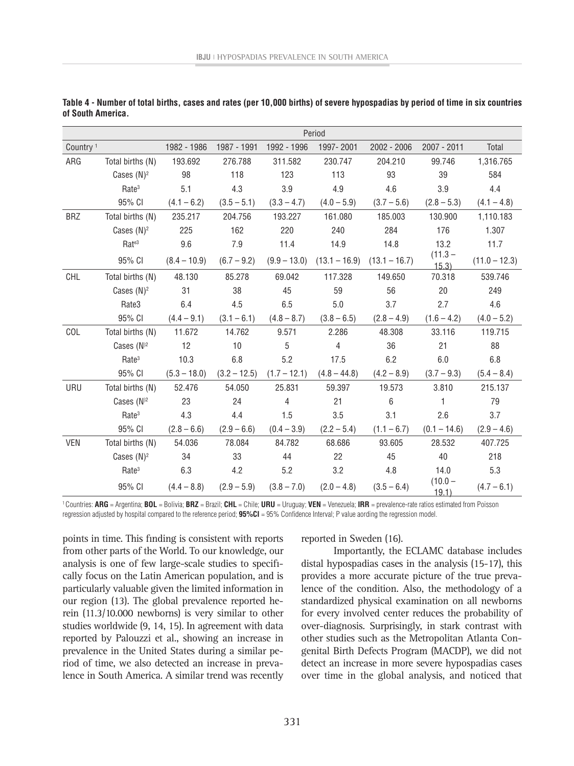|                      |                        | Period         |                |                |                 |                 |                    |                 |
|----------------------|------------------------|----------------|----------------|----------------|-----------------|-----------------|--------------------|-----------------|
| Country <sup>1</sup> |                        | 1982 - 1986    | 1987 - 1991    | 1992 - 1996    | 1997-2001       | $2002 - 2006$   | 2007 - 2011        | Total           |
| ARG                  | Total births (N)       | 193.692        | 276.788        | 311.582        | 230.747         | 204.210         | 99.746             | 1,316.765       |
|                      | Cases $(N)^2$          | 98             | 118            | 123            | 113             | 93              | 39                 | 584             |
|                      | Rate <sup>3</sup>      | 5.1            | 4.3            | 3.9            | 4.9             | 4.6             | 3.9                | 4.4             |
|                      | 95% CI                 | $(4.1 - 6.2)$  | $(3.5 - 5.1)$  | $(3.3 - 4.7)$  | $(4.0 - 5.9)$   | $(3.7 - 5.6)$   | $(2.8 - 5.3)$      | $(4.1 - 4.8)$   |
| <b>BRZ</b>           | Total births (N)       | 235.217        | 204.756        | 193.227        | 161.080         | 185.003         | 130.900            | 1,110.183       |
|                      | Cases $(N)^2$          | 225            | 162            | 220            | 240             | 284             | 176                | 1.307           |
|                      | Rat <sup>e3</sup>      | 9.6            | 7.9            | 11.4           | 14.9            | 14.8            | 13.2               | 11.7            |
|                      | 95% CI                 | $(8.4 - 10.9)$ | $(6.7 - 9.2)$  | $(9.9 - 13.0)$ | $(13.1 - 16.9)$ | $(13.1 - 16.7)$ | $(11.3 -$<br>15.3) | $(11.0 - 12.3)$ |
| CHL                  | Total births (N)       | 48.130         | 85.278         | 69.042         | 117.328         | 149.650         | 70.318             | 539.746         |
|                      | Cases $(N)^2$          | 31             | 38             | 45             | 59              | 56              | 20                 | 249             |
|                      | Rate3                  | 6.4            | 4.5            | 6.5            | 5.0             | 3.7             | 2.7                | 4.6             |
|                      | 95% CI                 | $(4.4 - 9.1)$  | $(3.1 - 6.1)$  | $(4.8 - 8.7)$  | $(3.8 - 6.5)$   | $(2.8 - 4.9)$   | $(1.6 - 4.2)$      | $(4.0 - 5.2)$   |
| COL                  | Total births (N)       | 11.672         | 14.762         | 9.571          | 2.286           | 48.308          | 33.116             | 119.715         |
|                      | Cases (N) <sup>2</sup> | 12             | 10             | 5              | 4               | 36              | 21                 | 88              |
|                      | Rate <sup>3</sup>      | 10.3           | 6.8            | 5.2            | 17.5            | 6.2             | 6.0                | 6.8             |
|                      | 95% CI                 | $(5.3 - 18.0)$ | $(3.2 - 12.5)$ | $(1.7 - 12.1)$ | $(4.8 - 44.8)$  | $(4.2 - 8.9)$   | $(3.7 - 9.3)$      | $(5.4 - 8.4)$   |
| URU                  | Total births (N)       | 52.476         | 54.050         | 25.831         | 59.397          | 19.573          | 3.810              | 215.137         |
|                      | Cases $(N)^2$          | 23             | 24             | 4              | 21              | 6               | 1                  | 79              |
|                      | Rate <sup>3</sup>      | 4.3            | 4.4            | 1.5            | 3.5             | 3.1             | 2.6                | 3.7             |
|                      | 95% CI                 | $(2.8 - 6.6)$  | $(2.9 - 6.6)$  | $(0.4 - 3.9)$  | $(2.2 - 5.4)$   | $(1.1 - 6.7)$   | $(0.1 - 14.6)$     | $(2.9 - 4.6)$   |
| <b>VEN</b>           | Total births (N)       | 54.036         | 78.084         | 84.782         | 68.686          | 93.605          | 28.532             | 407.725         |
|                      | Cases $(N)^2$          | 34             | 33             | 44             | 22              | 45              | 40                 | 218             |
|                      | Rate <sup>3</sup>      | 6.3            | 4.2            | 5.2            | 3.2             | 4.8             | 14.0               | 5.3             |
|                      | 95% CI                 | $(4.4 - 8.8)$  | $(2.9 - 5.9)$  | $(3.8 - 7.0)$  | $(2.0 - 4.8)$   | $(3.5 - 6.4)$   | $(10.0 -$<br>19.1) | $(4.7 - 6.1)$   |

**Table 4 - Number of total births, cases and rates (per 10,000 births) of severe hypospadias by period of time in six countries of South America.**

1 Countries: **ARG** = Argentina; **BOL** = Bolivia; **BRZ** = Brazil; **CHL** = Chile; **URU** = Uruguay; **VEN** = Venezuela; **IRR** = prevalence-rate ratios estimated from Poisson regression adjusted by hospital compared to the reference period; **95%CI** = 95% Confidence Interval; P value aording the regression model.

points in time. This finding is consistent with reports from other parts of the World. To our knowledge, our analysis is one of few large-scale studies to specifically focus on the Latin American population, and is particularly valuable given the limited information in our region (13). The global prevalence reported herein (11.3/10.000 newborns) is very similar to other studies worldwide (9, 14, 15). In agreement with data reported by Palouzzi et al., showing an increase in prevalence in the United States during a similar period of time, we also detected an increase in prevalence in South America. A similar trend was recently

#### reported in Sweden (16).

Importantly, the ECLAMC database includes distal hypospadias cases in the analysis (15-17), this provides a more accurate picture of the true prevalence of the condition. Also, the methodology of a standardized physical examination on all newborns for every involved center reduces the probability of over-diagnosis. Surprisingly, in stark contrast with other studies such as the Metropolitan Atlanta Congenital Birth Defects Program (MACDP), we did not detect an increase in more severe hypospadias cases over time in the global analysis, and noticed that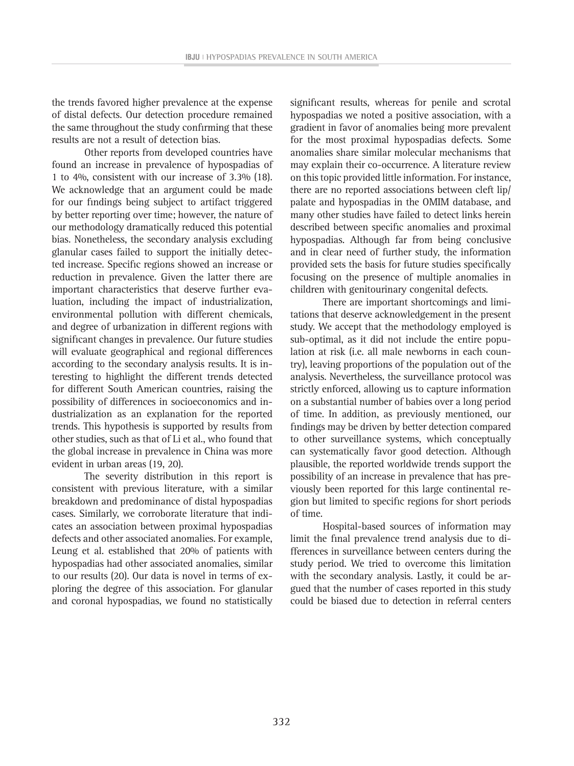the trends favored higher prevalence at the expense of distal defects. Our detection procedure remained the same throughout the study confirming that these results are not a result of detection bias.

Other reports from developed countries have found an increase in prevalence of hypospadias of 1 to 4%, consistent with our increase of 3.3% (18). We acknowledge that an argument could be made for our findings being subject to artifact triggered by better reporting over time; however, the nature of our methodology dramatically reduced this potential bias. Nonetheless, the secondary analysis excluding glanular cases failed to support the initially detected increase. Specific regions showed an increase or reduction in prevalence. Given the latter there are important characteristics that deserve further evaluation, including the impact of industrialization, environmental pollution with different chemicals, and degree of urbanization in different regions with significant changes in prevalence. Our future studies will evaluate geographical and regional differences according to the secondary analysis results. It is interesting to highlight the different trends detected for different South American countries, raising the possibility of differences in socioeconomics and industrialization as an explanation for the reported trends. This hypothesis is supported by results from other studies, such as that of Li et al., who found that the global increase in prevalence in China was more evident in urban areas (19, 20).

The severity distribution in this report is consistent with previous literature, with a similar breakdown and predominance of distal hypospadias cases. Similarly, we corroborate literature that indicates an association between proximal hypospadias defects and other associated anomalies. For example, Leung et al. established that 20% of patients with hypospadias had other associated anomalies, similar to our results (20). Our data is novel in terms of exploring the degree of this association. For glanular and coronal hypospadias, we found no statistically significant results, whereas for penile and scrotal hypospadias we noted a positive association, with a gradient in favor of anomalies being more prevalent for the most proximal hypospadias defects. Some anomalies share similar molecular mechanisms that may explain their co-occurrence. A literature review on this topic provided little information. For instance, there are no reported associations between cleft lip/ palate and hypospadias in the OMIM database, and many other studies have failed to detect links herein described between specific anomalies and proximal hypospadias. Although far from being conclusive and in clear need of further study, the information provided sets the basis for future studies specifically focusing on the presence of multiple anomalies in children with genitourinary congenital defects.

There are important shortcomings and limitations that deserve acknowledgement in the present study. We accept that the methodology employed is sub-optimal, as it did not include the entire population at risk (i.e. all male newborns in each country), leaving proportions of the population out of the analysis. Nevertheless, the surveillance protocol was strictly enforced, allowing us to capture information on a substantial number of babies over a long period of time. In addition, as previously mentioned, our findings may be driven by better detection compared to other surveillance systems, which conceptually can systematically favor good detection. Although plausible, the reported worldwide trends support the possibility of an increase in prevalence that has previously been reported for this large continental region but limited to specific regions for short periods of time.

Hospital-based sources of information may limit the final prevalence trend analysis due to differences in surveillance between centers during the study period. We tried to overcome this limitation with the secondary analysis. Lastly, it could be argued that the number of cases reported in this study could be biased due to detection in referral centers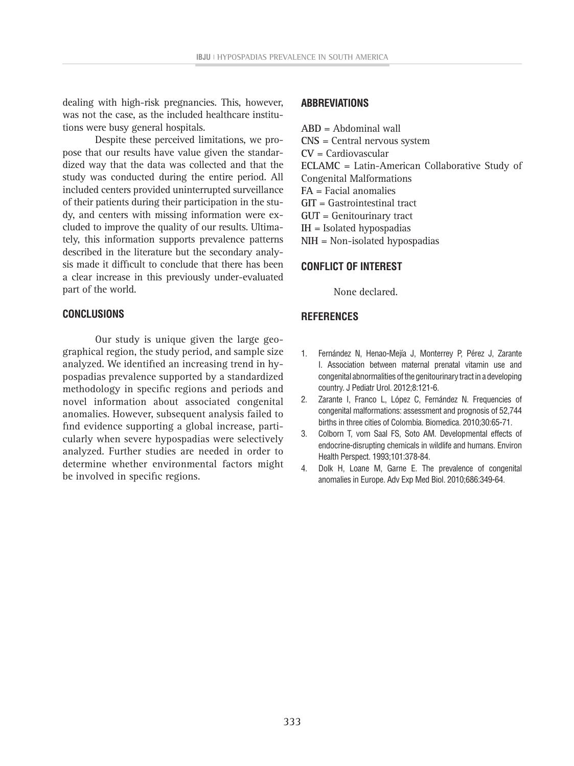dealing with high-risk pregnancies. This, however, was not the case, as the included healthcare institutions were busy general hospitals.

Despite these perceived limitations, we propose that our results have value given the standardized way that the data was collected and that the study was conducted during the entire period. All included centers provided uninterrupted surveillance of their patients during their participation in the study, and centers with missing information were excluded to improve the quality of our results. Ultimately, this information supports prevalence patterns described in the literature but the secondary analysis made it difficult to conclude that there has been a clear increase in this previously under-evaluated part of the world.

#### **CONCLUSIONS**

Our study is unique given the large geographical region, the study period, and sample size analyzed. We identified an increasing trend in hypospadias prevalence supported by a standardized methodology in specific regions and periods and novel information about associated congenital anomalies. However, subsequent analysis failed to find evidence supporting a global increase, particularly when severe hypospadias were selectively analyzed. Further studies are needed in order to determine whether environmental factors might be involved in specific regions.

#### **ABBREVIATIONS**

**ABD** = Abdominal wall **CNS** = Central nervous system **CV** = Cardiovascular **ECLAMC** = Latin-American Collaborative Study of Congenital Malformations **FA** = Facial anomalies **GIT** = Gastrointestinal tract **GUT** = Genitourinary tract **IH** = Isolated hypospadias **NIH** = Non-isolated hypospadias

## **CONFLICT OF INTEREST**

None declared.

#### **REFERENCES**

- 1. Fernández N, Henao-Mejía J, Monterrey P, Pérez J, Zarante I. Association between maternal prenatal vitamin use and congenital abnormalities of the genitourinary tract in a developing country. J Pediatr Urol. 2012;8:121-6.
- 2. Zarante I, Franco L, López C, Fernández N. Frequencies of congenital malformations: assessment and prognosis of 52,744 births in three cities of Colombia. Biomedica. 2010;30:65-71.
- 3. Colborn T, vom Saal FS, Soto AM. Developmental effects of endocrine-disrupting chemicals in wildlife and humans. Environ Health Perspect. 1993;101:378-84.
- 4. Dolk H, Loane M, Garne E. The prevalence of congenital anomalies in Europe. Adv Exp Med Biol. 2010;686:349-64.